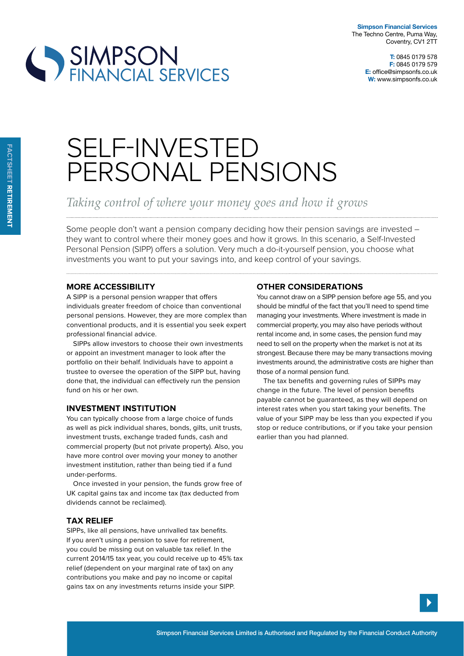

# SIMPSON<br>FINANCIAL SERVICES

## SELF-INVESTED PERSONAL PENSIONS

### *Taking control of where your money goes and how it grows*

Some people don't want a pension company deciding how their pension savings are invested – they want to control where their money goes and how it grows. In this scenario, a Self-Invested Personal Pension (SIPP) offers a solution. Very much a do-it-yourself pension, you choose what investments you want to put your savings into, and keep control of your savings.

#### **more accessiBility**

A SIPP is a personal pension wrapper that offers individuals greater freedom of choice than conventional personal pensions. However, they are more complex than conventional products, and it is essential you seek expert professional financial advice.

SIPPs allow investors to choose their own investments or appoint an investment manager to look after the portfolio on their behalf. Individuals have to appoint a trustee to oversee the operation of the SIPP but, having done that, the individual can efectively run the pension fund on his or her own.

#### **investment institution**

You can typically choose from a large choice of funds as well as pick individual shares, bonds, gilts, unit trusts, investment trusts, exchange traded funds, cash and commercial property (but not private property). Also, you have more control over moving your money to another investment institution, rather than being tied if a fund under-performs.

Once invested in your pension, the funds grow free of UK capital gains tax and income tax (tax deducted from dividends cannot be reclaimed).

#### **tax relieF**

SIPPs, like all pensions, have unrivalled tax benefits. If you aren't using a pension to save for retirement, you could be missing out on valuable tax relief. In the current 2014/15 tax year, you could receive up to 45% tax relief (dependent on your marginal rate of tax) on any contributions you make and pay no income or capital gains tax on any investments returns inside your SIPP.

#### **otHer considerations**

You cannot draw on a SIPP pension before age 55, and you should be mindful of the fact that you'll need to spend time managing your investments. Where investment is made in commercial property, you may also have periods without rental income and, in some cases, the pension fund may need to sell on the property when the market is not at its strongest. Because there may be many transactions moving investments around, the administrative costs are higher than those of a normal pension fund.

The tax benefits and governing rules of SIPPs may change in the future. The level of pension benefits payable cannot be guaranteed, as they will depend on interest rates when you start taking your benefits. The value of your SIPP may be less than you expected if you stop or reduce contributions, or if you take your pension earlier than you had planned.